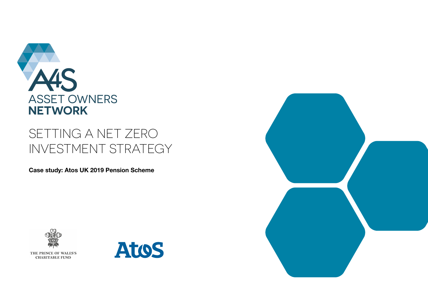

# SETTING A NET ZERO INVESTMENT STRATEGY

**Case study: Atos UK 2019 Pension Scheme**



THE PRINCE OF WALES'S **CHARITABLE FUND** 



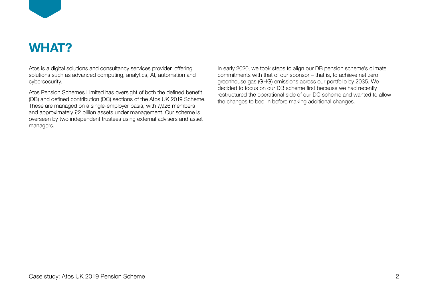

# **WHAT?**

Atos is a digital solutions and consultancy services provider, offering solutions such as advanced computing, analytics, AI, automation and cybersecurity.

Atos Pension Schemes Limited has oversight of both the defined benefit (DB) and defined contribution (DC) sections of the Atos UK 2019 Scheme. These are managed on a single-employer basis, with 7,926 members and approximately £2 billion assets under management. Our scheme is overseen by two independent trustees using external advisers and asset managers.

In early 2020, we took steps to align our DB pension scheme's climate commitments with that of our sponsor – that is, to achieve net zero greenhouse gas (GHG) emissions across our portfolio by 2035. We decided to focus on our DB scheme first because we had recently restructured the operational side of our DC scheme and wanted to allow the changes to bed-in before making additional changes.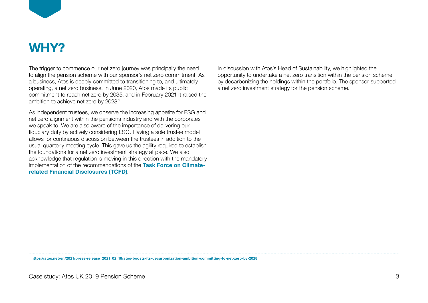

# **WHY?**

The trigger to commence our net zero journey was principally the need to align the pension scheme with our sponsor's net zero commitment. As a business, Atos is deeply committed to transitioning to, and ultimately operating, a net zero business. In June 2020, Atos made its public commitment to reach net zero by 2035, and in February 2021 it raised the ambition to achieve net zero by 2028.1

As independent trustees, we observe the increasing appetite for ESG and net zero alignment within the pensions industry and with the corporates we speak to. We are also aware of the importance of delivering our fiduciary duty by actively considering ESG. Having a sole trustee model allows for continuous discussion between the trustees in addition to the usual quarterly meeting cycle. This gave us the agility required to establish the foundations for a net zero investment strategy at pace. We also acknowledge that regulation is moving in this direction with the mandatory implementation of the recommendations of the **[Task Force on Climate](https://www.fsb-tcfd.org/)[related Financial Disclosures \(TCFD\)](https://www.fsb-tcfd.org/)**.

In discussion with Atos's Head of Sustainability, we highlighted the opportunity to undertake a net zero transition within the pension scheme by decarbonizing the holdings within the portfolio. The sponsor supported a net zero investment strategy for the pension scheme.

 **1 https://atos.net/en/2021/press-release\_2021\_02\_18/atos-boosts-its-decarbonization-ambition-committing-to-net-zero-by-2028**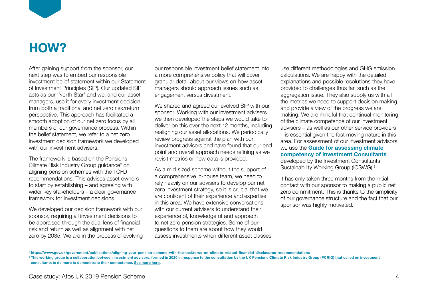

# **HOW?**

After gaining support from the sponsor, our next step was to embed our responsible investment belief statement within our Statement of Investment Principles (SIP). Our updated SIP acts as our 'North Star' and we, and our asset managers, use it for every investment decision, from both a traditional and net zero risk/return perspective. This approach has facilitated a smooth adoption of our net zero focus by all members of our governance process. Within the belief statement, we refer to a net zero investment decision framework we developed with our investment advisers.

The framework is based on the Pensions Climate Risk Industry Group guidance<sup>2</sup> on aligning pension schemes with the TCFD recommendations. This advises asset owners to start by establishing – and agreeing with wider key stakeholders – a clear governance framework for investment decisions.

We developed our decision framework with our sponsor, requiring all investment decisions to be appraised through the dual lens of financial risk and return as well as alignment with net zero by 2035. We are in the process of evolving our responsible investment belief statement into a more comprehensive policy that will cover granular detail about our views on how asset managers should approach issues such as engagement versus divestment.

We shared and agreed our evolved SIP with our sponsor. Working with our investment advisers we then developed the steps we would take to deliver on this over the next 12 months, including realigning our asset allocations. We periodically review progress against the plan with our investment advisers and have found that our end point and overall approach needs refining as we revisit metrics or new data is provided.

As a mid-sized scheme without the support of a comprehensive in-house team, we need to rely heavily on our advisers to develop our net zero investment strategy, so it is crucial that we are confident of their experience and expertise in this area. We have extensive conversations with our current advisers to understand their experience of, knowledge of and approach to net zero pension strategies. Some of our questions to them are about how they would assess investments when different asset classes use different methodologies and GHG emission calculations. We are happy with the detailed explanations and possible resolutions they have provided to challenges thus far, such as the aggregation issue. They also supply us with all the metrics we need to support decision making and provide a view of the progress we are making. We are mindful that continual monitoring of the climate competence of our investment advisors – as well as our other service providers – is essential given the fast moving nature in this area. For assessment of our investment advisors, we use the **[Guide for assessing climate](https://www.uk.mercer.com/content/dam/mercer/attachments/europe/uk/uk-2021-icswg-consultant-climate-competence-framework-january-2021.pdf)  [competency of Investment Consultants](https://www.uk.mercer.com/content/dam/mercer/attachments/europe/uk/uk-2021-icswg-consultant-climate-competence-framework-january-2021.pdf)** developed by the Investment Consultants Sustainability Working Group (ICSWG).3

It has only taken three months from the initial contact with our sponsor to making a public net zero commitment. This is thanks to the simplicity of our governance structure and the fact that our sponsor was highly motivated.

**<sup>2</sup> <https://www.gov.uk/government/publications/aligning-your-pension-scheme-with-the-taskforce-on-climate-related-financial-disclosures-recommendations>**

**<sup>3</sup>** This working group is a collaboration between investment advisors, formed in 2020 in response to the consultation by the UK Pensions Climate Risk Industry Group (PCRIG) that called on investment **consultants to do more to demonstrate their competence. [See more here](https://www.uk.mercer.com/content/dam/mercer/attachments/europe/uk/uk-2021-icswg-consultant-climate-competence-framework-january-2021.pdf).**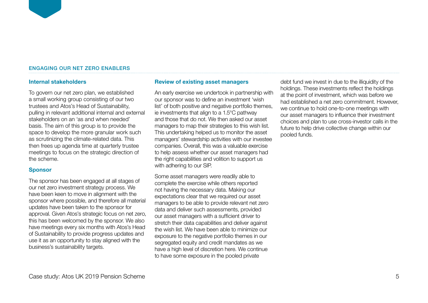#### ENGAGING OUR NET ZERO ENABLERS

### **Internal stakeholders**

To govern our net zero plan, we established a small working group consisting of our two trustees and Atos's Head of Sustainability, pulling in relevant additional internal and external stakeholders on an 'as and when needed' basis. The aim of this group is to provide the space to develop the more granular work such as scrutinizing the climate-related data. This then frees up agenda time at quarterly trustee meetings to focus on the strategic direction of the scheme.

### **Sponsor**

The sponsor has been engaged at all stages of our net zero investment strategy process. We have been keen to move in alignment with the sponsor where possible, and therefore all material updates have been taken to the sponsor for approval. Given Atos's strategic focus on net zero, this has been welcomed by the sponsor. We also have meetings every six months with Atos's Head of Sustainability to provide progress updates and use it as an opportunity to stay aligned with the business's sustainability targets.

### **Review of existing asset managers**

An early exercise we undertook in partnership with our sponsor was to define an investment 'wish list' of both positive and negative portfolio themes, ie investments that align to a 1.5°C pathway and those that do not. We then asked our asset managers to map their strategies to this wish list. This undertaking helped us to monitor the asset managers' stewardship activities with our investee companies. Overall, this was a valuable exercise to help assess whether our asset managers had the right capabilities and volition to support us with adhering to our SIP.

Some asset managers were readily able to complete the exercise while others reported not having the necessary data. Making our expectations clear that we required our asset managers to be able to provide relevant net zero data and deliver such assessments, provided our asset managers with a sufficient driver to stretch their data capabilities and deliver against the wish list. We have been able to minimize our exposure to the negative portfolio themes in our segregated equity and credit mandates as we have a high level of discretion here. We continue to have some exposure in the pooled private

debt fund we invest in due to the illiquidity of the holdings. These investments reflect the holdings at the point of investment, which was before we had established a net zero commitment. However, we continue to hold one-to-one meetings with our asset managers to influence their investment choices and plan to use cross-investor calls in the future to help drive collective change within our pooled funds.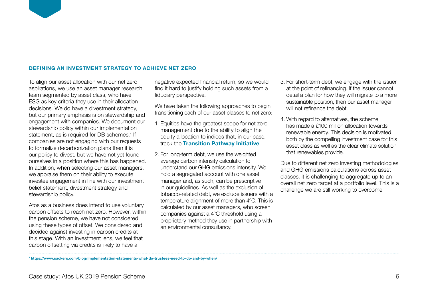#### **DEFINING AN INVESTMENT STRATEGY TO ACHIEVE NET ZERO**

To align our asset allocation with our net zero aspirations, we use an asset manager research team segmented by asset class, who have ESG as key criteria they use in their allocation decisions. We do have a divestment strategy, but our primary emphasis is on stewardship and engagement with companies. We document our stewardship policy within our implementation statement, as is required for DB schemes.<sup>4</sup> If companies are not engaging with our requests to formalize decarbonization plans then it is our policy to divest, but we have not yet found ourselves in a position where this has happened. In addition, when selecting our asset managers, we appraise them on their ability to execute investee engagement in line with our investment belief statement, divestment strategy and stewardship policy.

Atos as a business does intend to use voluntary carbon offsets to reach net zero. However, within the pension scheme, we have not considered using these types of offset. We considered and decided against investing in carbon credits at this stage. With an investment lens, we feel that carbon offsetting via credits is likely to have a

negative expected financial return, so we would find it hard to justify holding such assets from a fiduciary perspective.

We have taken the following approaches to begin transitioning each of our asset classes to net zero:

- 1. Equities have the greatest scope for net zero management due to the ability to align the equity allocation to indices that, in our case, track the **[Transition Pathway Initiative](https://www.transitionpathwayinitiative.org/)**.
- 2. For long-term debt, we use the weighted average carbon intensity calculation to understand our GHG emissions intensity. We hold a segregated account with one asset manager and, as such, can be prescriptive in our guidelines. As well as the exclusion of tobacco-related debt, we exclude issuers with a temperature alignment of more than 4°C. This is calculated by our asset managers, who screen companies against a 4°C threshold using a proprietary method they use in partnership with an environmental consultancy.
- 3. For short-term debt, we engage with the issuer at the point of refinancing. If the issuer cannot detail a plan for how they will migrate to a more sustainable position, then our asset manager will not refinance the debt.
- 4. With regard to alternatives, the scheme has made a £100 million allocation towards renewable energy. This decision is motivated both by the compelling investment case for this asset class as well as the clear climate solution that renewables provide.

Due to different net zero investing methodologies and GHG emissions calculations across asset classes, it is challenging to aggregate up to an overall net zero target at a portfolio level. This is a challenge we are still working to overcome

**4 https://www.sackers.com/blog/implementation-statements-what-do-trustees-need-to-do-and-by-when/**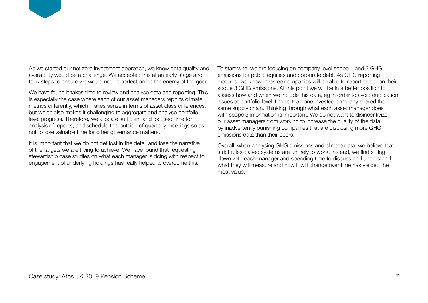

We have found it takes time to review and analyse data and reporting. This is especially the case where each of our asset managers reports climate metrics differently, which makes sense in terms of asset class differences, but which also makes it challenging to aggregate and analyse portfoliolevel progress. Therefore, we allocate sufficient and focused time for analysis of reports, and schedule this outside of quarterly meetings so as not to lose valuable time for other governance matters.

It is important that we do not get lost in the detail and lose the narrative of the targets we are trying to achieve. We have found that requesting stewardship case studies on what each manager is doing with respect to engagement of underlying holdings has really helped to overcome this.

To start with, we are focusing on company-level scope 1 and 2 GHG emissions for public equities and corporate debt. As GHG reporting matures, we know investee companies will be able to report better on their scope 3 GHG emissions. At this point we will be in a better position to assess how and when we include this data, eg in order to avoid duplication issues at portfolio level if more than one investee company shared the same supply chain. Thinking through what each asset manager does with scope 3 information is important. We do not want to disincentivize our asset managers from working to increase the quality of the data by inadvertently punishing companies that are disclosing more GHG emissions data than their peers.

Overall, when analysing GHG emissions and climate data, we believe that strict rules-based systems are unlikely to work. Instead, we find sitting down with each manager and spending time to discuss and understand what they will measure and how it will change over time has yielded the most value.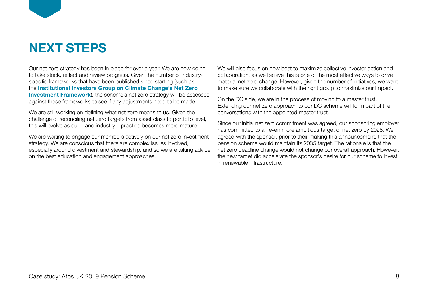

# **NEXT STEPS**

Our net zero strategy has been in place for over a year. We are now going to take stock, reflect and review progress. Given the number of industryspecific frameworks that have been published since starting (such as the **[Institutional Investors Group on Climate Change's Net Zero](https://www.iigcc.org/resource/net-zero-investment-framework-implementation-guide/)  [Investment Framework](https://www.iigcc.org/resource/net-zero-investment-framework-implementation-guide/)**), the scheme's net zero strategy will be assessed against these frameworks to see if any adjustments need to be made.

We are still working on defining what net zero means to us. Given the challenge of reconciling net zero targets from asset class to portfolio level, this will evolve as our – and industry – practice becomes more mature.

We are waiting to engage our members actively on our net zero investment strategy. We are conscious that there are complex issues involved, especially around divestment and stewardship, and so we are taking advice on the best education and engagement approaches.

We will also focus on how best to maximize collective investor action and collaboration, as we believe this is one of the most effective ways to drive material net zero change. However, given the number of initiatives, we want to make sure we collaborate with the right group to maximize our impact.

On the DC side, we are in the process of moving to a master trust. Extending our net zero approach to our DC scheme will form part of the conversations with the appointed master trust.

Since our initial net zero commitment was agreed, our sponsoring employer has committed to an even more ambitious target of net zero by 2028. We agreed with the sponsor, prior to their making this announcement, that the pension scheme would maintain its 2035 target. The rationale is that the net zero deadline change would not change our overall approach. However, the new target did accelerate the sponsor's desire for our scheme to invest in renewable infrastructure.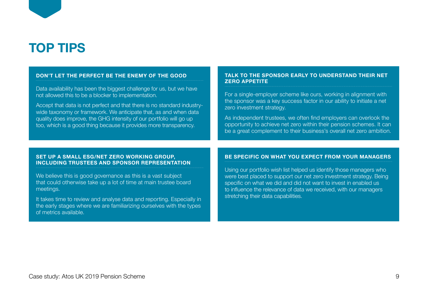

#### **DON'T LET THE PERFECT BE THE ENEMY OF THE GOOD**

Data availability has been the biggest challenge for us, but we have not allowed this to be a blocker to implementation.

Accept that data is not perfect and that there is no standard industrywide taxonomy or framework. We anticipate that, as and when data quality does improve, the GHG intensity of our portfolio will go up too, which is a good thing because it provides more transparency.

#### **TALK TO THE SPONSOR EARLY TO UNDERSTAND THEIR NET ZERO APPETITE**

For a single-employer scheme like ours, working in alignment with the sponsor was a key success factor in our ability to initiate a net zero investment strategy.

As independent trustees, we often find employers can overlook the opportunity to achieve net zero within their pension schemes. It can be a great complement to their business's overall net zero ambition.

#### **SET UP A SMALL ESG/NET ZERO WORKING GROUP, INCLUDING TRUSTEES AND SPONSOR REPRESENTATION**

We believe this is good governance as this is a vast subject that could otherwise take up a lot of time at main trustee board meetings.

It takes time to review and analyse data and reporting. Especially in the early stages where we are familiarizing ourselves with the types of metrics available.

#### **BE SPECIFIC ON WHAT YOU EXPECT FROM YOUR MANAGERS**

Using our portfolio wish list helped us identify those managers who were best placed to support our net zero investment strategy. Being specific on what we did and did not want to invest in enabled us to influence the relevance of data we received, with our managers stretching their data capabilities.